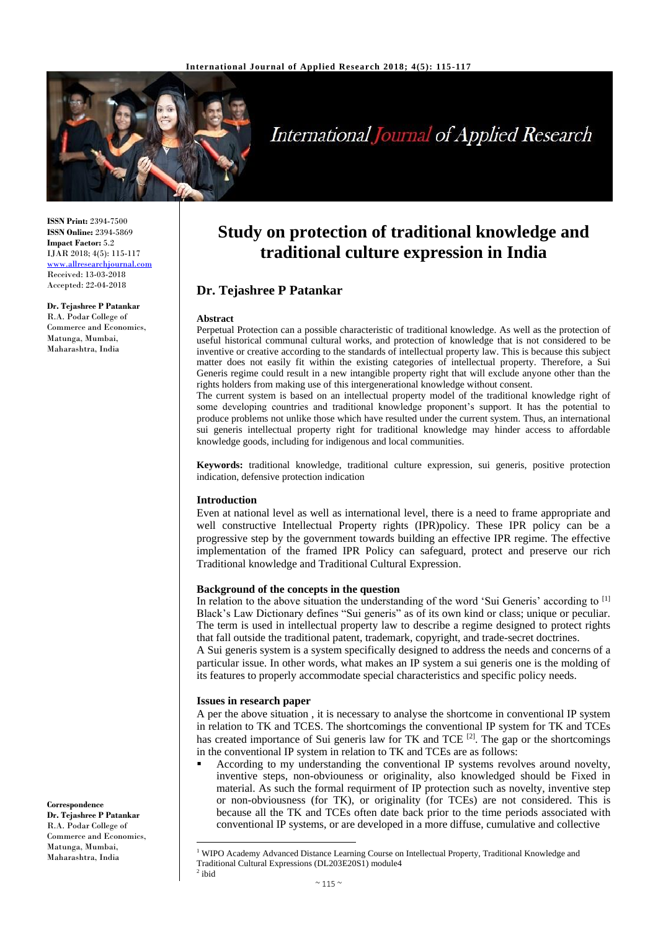

# **International Journal of Applied Research**

**ISSN Print:** 2394-7500 **ISSN Online:** 2394-5869 **Impact Factor:** 5.2 IJAR 2018; 4(5): 115-117 <www.allresearchjournal.com> Received: 13-03-2018 Accepted: 22-04-2018

**Dr. Tejashree P Patankar** R.A. Podar College of Commerce and Economics, Matunga, Mumbai,

Maharashtra, India

**Study on protection of traditional knowledge and traditional culture expression in India**

# **Dr. Tejashree P Patankar**

#### **Abstract**

Perpetual Protection can a possible characteristic of traditional knowledge. As well as the protection of useful historical communal cultural works, and protection of knowledge that is not considered to be inventive or creative according to the standards of intellectual property law. This is because this subject matter does not easily fit within the existing categories of intellectual property. Therefore, a Sui Generis regime could result in a new intangible property right that will exclude anyone other than the rights holders from making use of this intergenerational knowledge without consent.

The current system is based on an intellectual property model of the traditional knowledge right of some developing countries and traditional knowledge proponent's support. It has the potential to produce problems not unlike those which have resulted under the current system. Thus, an international sui generis intellectual property right for traditional knowledge may hinder access to affordable knowledge goods, including for indigenous and local communities.

**Keywords:** traditional knowledge, traditional culture expression, sui generis, positive protection indication, defensive protection indication

### **Introduction**

Even at national level as well as international level, there is a need to frame appropriate and well constructive Intellectual Property rights (IPR)policy. These IPR policy can be a progressive step by the government towards building an effective IPR regime. The effective implementation of the framed IPR Policy can safeguard, protect and preserve our rich Traditional knowledge and Traditional Cultural Expression.

### **Background of the concepts in the question**

In relation to the above situation the understanding of the word 'Sui Generis' according to [1] Black's Law Dictionary defines "Sui generis" as of its own kind or class; unique or peculiar. The term is used in intellectual property law to describe a regime designed to protect rights that fall outside the traditional patent, trademark, copyright, and trade-secret doctrines.

A Sui generis system is a system specifically designed to address the needs and concerns of a particular issue. In other words, what makes an IP system a sui generis one is the molding of its features to properly accommodate special characteristics and specific policy needs.

#### **Issues in research paper**

 $\overline{\phantom{a}}$ 

A per the above situation , it is necessary to analyse the shortcome in conventional IP system in relation to TK and TCES. The shortcomings the conventional IP system for TK and TCEs has created importance of Sui generis law for TK and TCE<sup>[2]</sup>. The gap or the shortcomings in the conventional IP system in relation to TK and TCEs are as follows:

According to my understanding the conventional IP systems revolves around novelty, inventive steps, non-obviouness or originality, also knowledged should be Fixed in material. As such the formal requirment of IP protection such as novelty, inventive step or non-obviousness (for TK), or originality (for TCEs) are not considered. This is because all the TK and TCEs often date back prior to the time periods associated with conventional IP systems, or are developed in a more diffuse, cumulative and collective

**Correspondence Dr. Tejashree P Patankar** R.A. Podar College of Commerce and Economics, Matunga, Mumbai, Maharashtra, India

<sup>&</sup>lt;sup>1</sup> WIPO Academy Advanced Distance Learning Course on Intellectual Property, Traditional Knowledge and Traditional Cultural Expressions (DL203E20S1) module4  $2$  ibid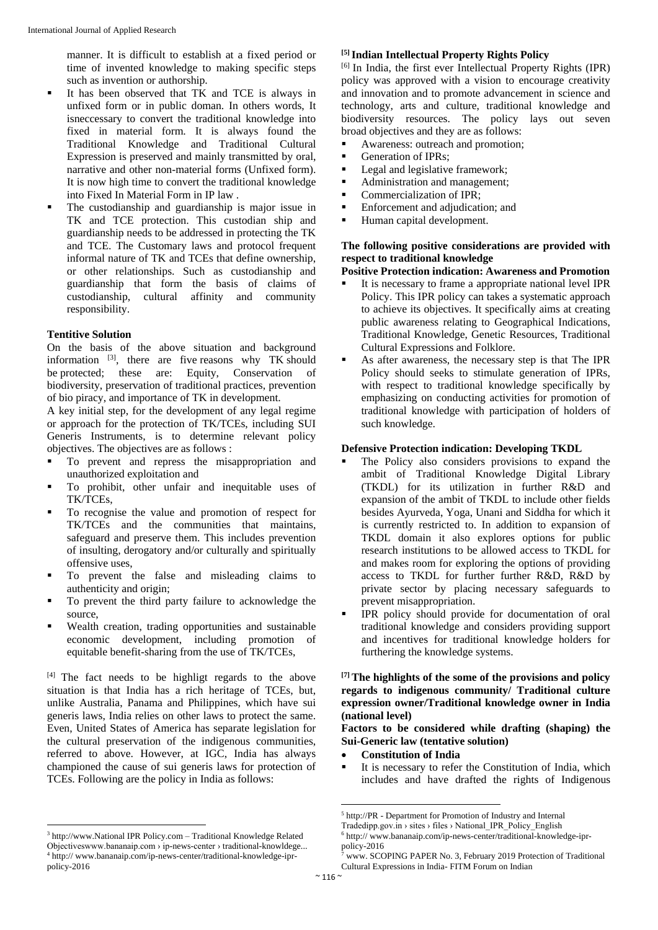manner. It is difficult to establish at a fixed period or time of invented knowledge to making specific steps such as invention or authorship.

- It has been observed that TK and TCE is always in unfixed form or in public doman. In others words, It isneccessary to convert the traditional knowledge into fixed in material form. It is always found the Traditional Knowledge and Traditional Cultural Expression is preserved and mainly transmitted by oral, narrative and other non-material forms (Unfixed form). It is now high time to convert the traditional knowledge into Fixed In Material Form in IP law .
- The custodianship and guardianship is major issue in TK and TCE protection. This custodian ship and guardianship needs to be addressed in protecting the TK and TCE. The Customary laws and protocol frequent informal nature of TK and TCEs that define ownership, or other relationships. Such as custodianship and guardianship that form the basis of claims of custodianship, cultural affinity and community responsibility.

# **Tentitive Solution**

On the basis of the above situation and background information  $[3]$ , there are five reasons why TK should be protected; these are: Equity, Conservation of biodiversity, preservation of traditional practices, prevention of bio piracy, and importance of TK in development.

A key initial step, for the development of any legal regime or approach for the protection of TK/TCEs, including SUI Generis Instruments, is to determine relevant policy objectives. The objectives are as follows :

- To prevent and repress the misappropriation and unauthorized exploitation and
- To prohibit, other unfair and inequitable uses of TK/TCEs,
- To recognise the value and promotion of respect for TK/TCEs and the communities that maintains, safeguard and preserve them. This includes prevention of insulting, derogatory and/or culturally and spiritually offensive uses,
- To prevent the false and misleading claims to authenticity and origin;
- To prevent the third party failure to acknowledge the source,
- Wealth creation, trading opportunities and sustainable economic development, including promotion of equitable benefit-sharing from the use of TK/TCEs,

[4] The fact needs to be highligt regards to the above situation is that India has a rich heritage of TCEs, but, unlike Australia, Panama and Philippines, which have sui generis laws, India relies on other laws to protect the same. Even, United States of America has separate legislation for the cultural preservation of the indigenous communities, referred to above. However, at IGC, India has always championed the cause of sui generis laws for protection of TCEs. Following are the policy in India as follows:

 $\overline{\phantom{a}}$ 

# **[5] Indian Intellectual Property Rights Policy**

[6] In India, the first ever Intellectual Property Rights (IPR) policy was approved with a vision to encourage creativity and innovation and to promote advancement in science and technology, arts and culture, traditional knowledge and biodiversity resources. The policy lays out seven broad objectives and they are as follows:

- Awareness: outreach and promotion:
- Generation of IPRs;
- Legal and legislative framework;
- Administration and management:
- **•** Commercialization of IPR;
- Enforcement and adjudication; and
- Human capital development.

# **The following positive considerations are provided with respect to traditional knowledge**

# **Positive Protection indication: Awareness and Promotion**

- It is necessary to frame a appropriate national level IPR Policy. This IPR policy can takes a systematic approach to achieve its objectives. It specifically aims at creating public awareness relating to Geographical Indications, Traditional Knowledge, Genetic Resources, Traditional Cultural Expressions and Folklore.
- As after awareness, the necessary step is that The IPR Policy should seeks to stimulate generation of IPRs, with respect to traditional knowledge specifically by emphasizing on conducting activities for promotion of traditional knowledge with participation of holders of such knowledge.

# **Defensive Protection indication: Developing TKDL**

- The Policy also considers provisions to expand the ambit of Traditional Knowledge Digital Library (TKDL) for its utilization in further R&D and expansion of the ambit of TKDL to include other fields besides Ayurveda, Yoga, Unani and Siddha for which it is currently restricted to. In addition to expansion of TKDL domain it also explores options for public research institutions to be allowed access to TKDL for and makes room for exploring the options of providing access to TKDL for further further R&D, R&D by private sector by placing necessary safeguards to prevent misappropriation.
- IPR policy should provide for documentation of oral traditional knowledge and considers providing support and incentives for traditional knowledge holders for furthering the knowledge systems.

## **[7] The highlights of the some of the provisions and policy regards to indigenous community/ Traditional culture expression owner/Traditional knowledge owner in India (national level)**

# **Factors to be considered while drafting (shaping) the Sui-Generic law (tentative solution)**

- **Constitution of India**
- It is necessary to refer the Constitution of India, which includes and have drafted the rights of Indigenous

1

<sup>&</sup>lt;sup>3</sup> http://www.National IPR Policy.com - Traditional Knowledge Related Objectiveswww.bananaip.com › ip-news-center › traditional-knowldege... 4 http:// www.bananaip.com/ip-news-center/traditional-knowledge-iprpolicy-2016

<sup>5</sup> http://PR - Department for Promotion of Industry and Internal

Tradedipp.gov.in › sites › files › National\_IPR\_Policy\_English

<sup>6</sup> http:// www.bananaip.com/ip-news-center/traditional-knowledge-iprpolicy-2016

www. SCOPING PAPER No. 3, February 2019 Protection of Traditional Cultural Expressions in India- FITM Forum on Indian